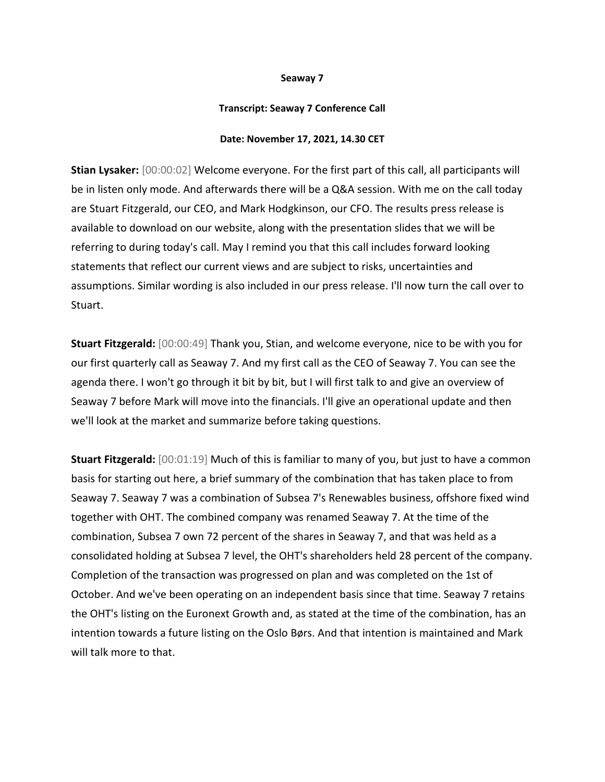## **Seaway 7**

## **Transcript: Seaway 7 Conference Call**

## **Date: November 17, 2021, 14.30 CET**

**Stian Lysaker:** [00:00:02] Welcome everyone. For the first part of this call, all participants will be in listen only mode. And afterwards there will be a Q&A session. With me on the call today are Stuart Fitzgerald, our CEO, and Mark Hodgkinson, our CFO. The results press release is available to download on our website, along with the presentation slides that we will be referring to during today's call. May I remind you that this call includes forward looking statements that reflect our current views and are subject to risks, uncertainties and assumptions. Similar wording is also included in our press release. I'll now turn the call over to Stuart.

**Stuart Fitzgerald:** [00:00:49] Thank you, Stian, and welcome everyone, nice to be with you for our first quarterly call as Seaway 7. And my first call as the CEO of Seaway 7. You can see the agenda there. I won't go through it bit by bit, but I will first talk to and give an overview of Seaway 7 before Mark will move into the financials. I'll give an operational update and then we'll look at the market and summarize before taking questions.

**Stuart Fitzgerald:** [00:01:19] Much of this is familiar to many of you, but just to have a common basis for starting out here, a brief summary of the combination that has taken place to from Seaway 7. Seaway 7 was a combination of Subsea 7's Renewables business, offshore fixed wind together with OHT. The combined company was renamed Seaway 7. At the time of the combination, Subsea 7 own 72 percent of the shares in Seaway 7, and that was held as a consolidated holding at Subsea 7 level, the OHT's shareholders held 28 percent of the company. Completion of the transaction was progressed on plan and was completed on the 1st of October. And we've been operating on an independent basis since that time. Seaway 7 retains the OHT's listing on the Euronext Growth and, as stated at the time of the combination, has an intention towards a future listing on the Oslo Børs. And that intention is maintained and Mark will talk more to that.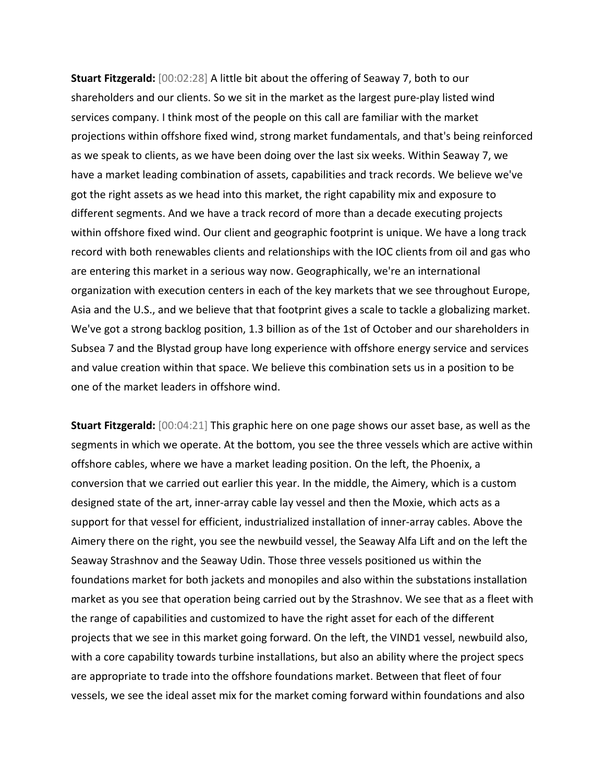**Stuart Fitzgerald:** [00:02:28] A little bit about the offering of Seaway 7, both to our shareholders and our clients. So we sit in the market as the largest pure-play listed wind services company. I think most of the people on this call are familiar with the market projections within offshore fixed wind, strong market fundamentals, and that's being reinforced as we speak to clients, as we have been doing over the last six weeks. Within Seaway 7, we have a market leading combination of assets, capabilities and track records. We believe we've got the right assets as we head into this market, the right capability mix and exposure to different segments. And we have a track record of more than a decade executing projects within offshore fixed wind. Our client and geographic footprint is unique. We have a long track record with both renewables clients and relationships with the IOC clients from oil and gas who are entering this market in a serious way now. Geographically, we're an international organization with execution centers in each of the key markets that we see throughout Europe, Asia and the U.S., and we believe that that footprint gives a scale to tackle a globalizing market. We've got a strong backlog position, 1.3 billion as of the 1st of October and our shareholders in Subsea 7 and the Blystad group have long experience with offshore energy service and services and value creation within that space. We believe this combination sets us in a position to be one of the market leaders in offshore wind.

**Stuart Fitzgerald:** [00:04:21] This graphic here on one page shows our asset base, as well as the segments in which we operate. At the bottom, you see the three vessels which are active within offshore cables, where we have a market leading position. On the left, the Phoenix, a conversion that we carried out earlier this year. In the middle, the Aimery, which is a custom designed state of the art, inner-array cable lay vessel and then the Moxie, which acts as a support for that vessel for efficient, industrialized installation of inner-array cables. Above the Aimery there on the right, you see the newbuild vessel, the Seaway Alfa Lift and on the left the Seaway Strashnov and the Seaway Udin. Those three vessels positioned us within the foundations market for both jackets and monopiles and also within the substations installation market as you see that operation being carried out by the Strashnov. We see that as a fleet with the range of capabilities and customized to have the right asset for each of the different projects that we see in this market going forward. On the left, the VIND1 vessel, newbuild also, with a core capability towards turbine installations, but also an ability where the project specs are appropriate to trade into the offshore foundations market. Between that fleet of four vessels, we see the ideal asset mix for the market coming forward within foundations and also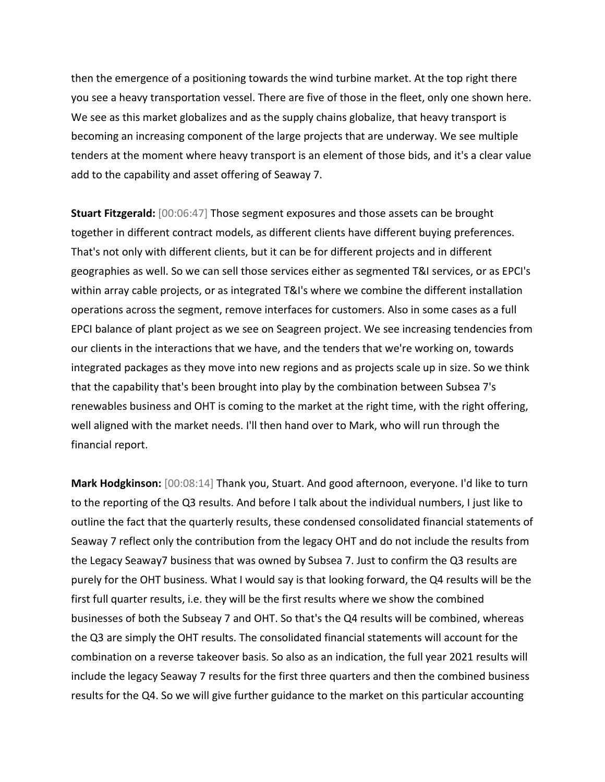then the emergence of a positioning towards the wind turbine market. At the top right there you see a heavy transportation vessel. There are five of those in the fleet, only one shown here. We see as this market globalizes and as the supply chains globalize, that heavy transport is becoming an increasing component of the large projects that are underway. We see multiple tenders at the moment where heavy transport is an element of those bids, and it's a clear value add to the capability and asset offering of Seaway 7.

**Stuart Fitzgerald:** [00:06:47] Those segment exposures and those assets can be brought together in different contract models, as different clients have different buying preferences. That's not only with different clients, but it can be for different projects and in different geographies as well. So we can sell those services either as segmented T&I services, or as EPCI's within array cable projects, or as integrated T&I's where we combine the different installation operations across the segment, remove interfaces for customers. Also in some cases as a full EPCI balance of plant project as we see on Seagreen project. We see increasing tendencies from our clients in the interactions that we have, and the tenders that we're working on, towards integrated packages as they move into new regions and as projects scale up in size. So we think that the capability that's been brought into play by the combination between Subsea 7's renewables business and OHT is coming to the market at the right time, with the right offering, well aligned with the market needs. I'll then hand over to Mark, who will run through the financial report.

**Mark Hodgkinson:** [00:08:14] Thank you, Stuart. And good afternoon, everyone. I'd like to turn to the reporting of the Q3 results. And before I talk about the individual numbers, I just like to outline the fact that the quarterly results, these condensed consolidated financial statements of Seaway 7 reflect only the contribution from the legacy OHT and do not include the results from the Legacy Seaway7 business that was owned by Subsea 7. Just to confirm the Q3 results are purely for the OHT business. What I would say is that looking forward, the Q4 results will be the first full quarter results, i.e. they will be the first results where we show the combined businesses of both the Subseay 7 and OHT. So that's the Q4 results will be combined, whereas the Q3 are simply the OHT results. The consolidated financial statements will account for the combination on a reverse takeover basis. So also as an indication, the full year 2021 results will include the legacy Seaway 7 results for the first three quarters and then the combined business results for the Q4. So we will give further guidance to the market on this particular accounting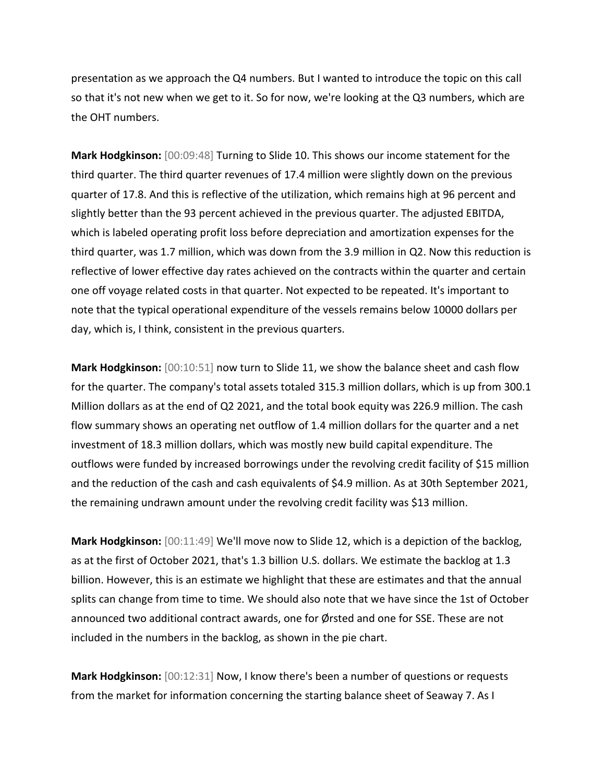presentation as we approach the Q4 numbers. But I wanted to introduce the topic on this call so that it's not new when we get to it. So for now, we're looking at the Q3 numbers, which are the OHT numbers.

**Mark Hodgkinson:** [00:09:48] Turning to Slide 10. This shows our income statement for the third quarter. The third quarter revenues of 17.4 million were slightly down on the previous quarter of 17.8. And this is reflective of the utilization, which remains high at 96 percent and slightly better than the 93 percent achieved in the previous quarter. The adjusted EBITDA, which is labeled operating profit loss before depreciation and amortization expenses for the third quarter, was 1.7 million, which was down from the 3.9 million in Q2. Now this reduction is reflective of lower effective day rates achieved on the contracts within the quarter and certain one off voyage related costs in that quarter. Not expected to be repeated. It's important to note that the typical operational expenditure of the vessels remains below 10000 dollars per day, which is, I think, consistent in the previous quarters.

**Mark Hodgkinson:** [00:10:51] now turn to Slide 11, we show the balance sheet and cash flow for the quarter. The company's total assets totaled 315.3 million dollars, which is up from 300.1 Million dollars as at the end of Q2 2021, and the total book equity was 226.9 million. The cash flow summary shows an operating net outflow of 1.4 million dollars for the quarter and a net investment of 18.3 million dollars, which was mostly new build capital expenditure. The outflows were funded by increased borrowings under the revolving credit facility of \$15 million and the reduction of the cash and cash equivalents of \$4.9 million. As at 30th September 2021, the remaining undrawn amount under the revolving credit facility was \$13 million.

**Mark Hodgkinson:** [00:11:49] We'll move now to Slide 12, which is a depiction of the backlog, as at the first of October 2021, that's 1.3 billion U.S. dollars. We estimate the backlog at 1.3 billion. However, this is an estimate we highlight that these are estimates and that the annual splits can change from time to time. We should also note that we have since the 1st of October announced two additional contract awards, one for Ørsted and one for SSE. These are not included in the numbers in the backlog, as shown in the pie chart.

**Mark Hodgkinson:** [00:12:31] Now, I know there's been a number of questions or requests from the market for information concerning the starting balance sheet of Seaway 7. As I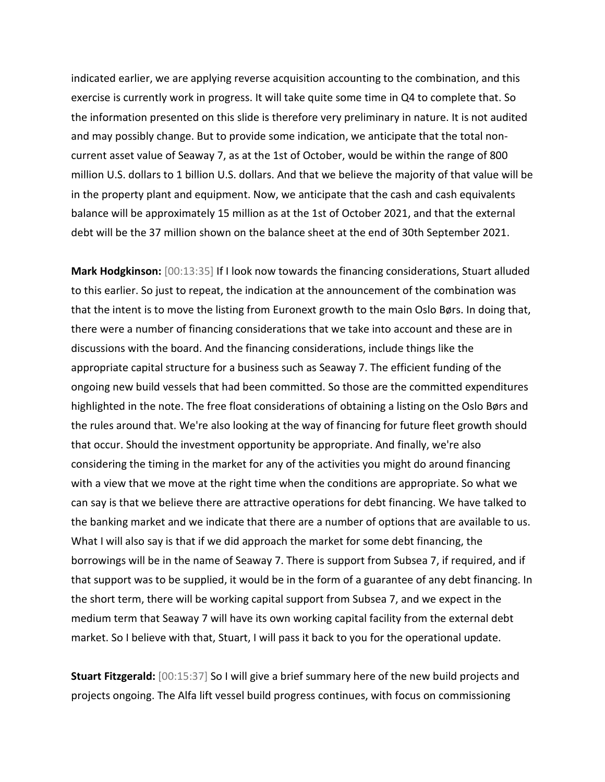indicated earlier, we are applying reverse acquisition accounting to the combination, and this exercise is currently work in progress. It will take quite some time in Q4 to complete that. So the information presented on this slide is therefore very preliminary in nature. It is not audited and may possibly change. But to provide some indication, we anticipate that the total noncurrent asset value of Seaway 7, as at the 1st of October, would be within the range of 800 million U.S. dollars to 1 billion U.S. dollars. And that we believe the majority of that value will be in the property plant and equipment. Now, we anticipate that the cash and cash equivalents balance will be approximately 15 million as at the 1st of October 2021, and that the external debt will be the 37 million shown on the balance sheet at the end of 30th September 2021.

**Mark Hodgkinson:** [00:13:35] If I look now towards the financing considerations, Stuart alluded to this earlier. So just to repeat, the indication at the announcement of the combination was that the intent is to move the listing from Euronext growth to the main Oslo Børs. In doing that, there were a number of financing considerations that we take into account and these are in discussions with the board. And the financing considerations, include things like the appropriate capital structure for a business such as Seaway 7. The efficient funding of the ongoing new build vessels that had been committed. So those are the committed expenditures highlighted in the note. The free float considerations of obtaining a listing on the Oslo Børs and the rules around that. We're also looking at the way of financing for future fleet growth should that occur. Should the investment opportunity be appropriate. And finally, we're also considering the timing in the market for any of the activities you might do around financing with a view that we move at the right time when the conditions are appropriate. So what we can say is that we believe there are attractive operations for debt financing. We have talked to the banking market and we indicate that there are a number of options that are available to us. What I will also say is that if we did approach the market for some debt financing, the borrowings will be in the name of Seaway 7. There is support from Subsea 7, if required, and if that support was to be supplied, it would be in the form of a guarantee of any debt financing. In the short term, there will be working capital support from Subsea 7, and we expect in the medium term that Seaway 7 will have its own working capital facility from the external debt market. So I believe with that, Stuart, I will pass it back to you for the operational update.

**Stuart Fitzgerald:** [00:15:37] So I will give a brief summary here of the new build projects and projects ongoing. The Alfa lift vessel build progress continues, with focus on commissioning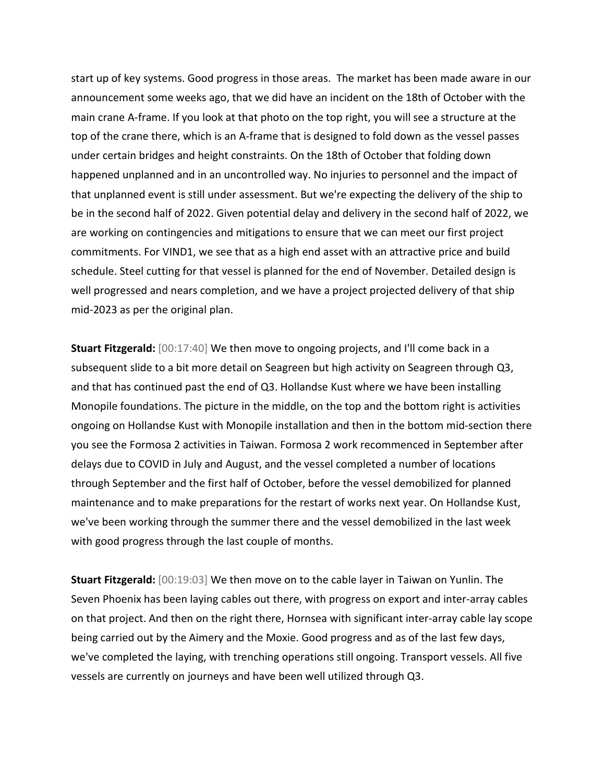start up of key systems. Good progress in those areas. The market has been made aware in our announcement some weeks ago, that we did have an incident on the 18th of October with the main crane A-frame. If you look at that photo on the top right, you will see a structure at the top of the crane there, which is an A-frame that is designed to fold down as the vessel passes under certain bridges and height constraints. On the 18th of October that folding down happened unplanned and in an uncontrolled way. No injuries to personnel and the impact of that unplanned event is still under assessment. But we're expecting the delivery of the ship to be in the second half of 2022. Given potential delay and delivery in the second half of 2022, we are working on contingencies and mitigations to ensure that we can meet our first project commitments. For VIND1, we see that as a high end asset with an attractive price and build schedule. Steel cutting for that vessel is planned for the end of November. Detailed design is well progressed and nears completion, and we have a project projected delivery of that ship mid-2023 as per the original plan.

**Stuart Fitzgerald:** [00:17:40] We then move to ongoing projects, and I'll come back in a subsequent slide to a bit more detail on Seagreen but high activity on Seagreen through Q3, and that has continued past the end of Q3. Hollandse Kust where we have been installing Monopile foundations. The picture in the middle, on the top and the bottom right is activities ongoing on Hollandse Kust with Monopile installation and then in the bottom mid-section there you see the Formosa 2 activities in Taiwan. Formosa 2 work recommenced in September after delays due to COVID in July and August, and the vessel completed a number of locations through September and the first half of October, before the vessel demobilized for planned maintenance and to make preparations for the restart of works next year. On Hollandse Kust, we've been working through the summer there and the vessel demobilized in the last week with good progress through the last couple of months.

**Stuart Fitzgerald:** [00:19:03] We then move on to the cable layer in Taiwan on Yunlin. The Seven Phoenix has been laying cables out there, with progress on export and inter-array cables on that project. And then on the right there, Hornsea with significant inter-array cable lay scope being carried out by the Aimery and the Moxie. Good progress and as of the last few days, we've completed the laying, with trenching operations still ongoing. Transport vessels. All five vessels are currently on journeys and have been well utilized through Q3.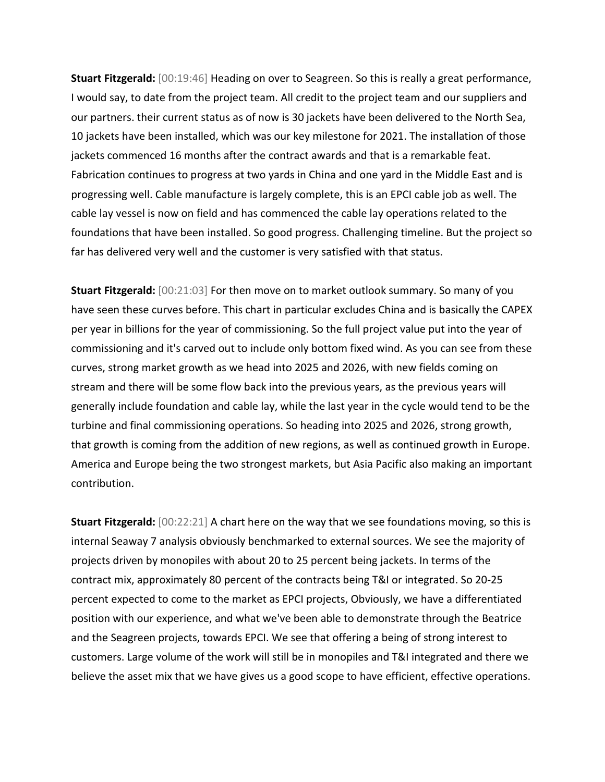**Stuart Fitzgerald:** [00:19:46] Heading on over to Seagreen. So this is really a great performance, I would say, to date from the project team. All credit to the project team and our suppliers and our partners. their current status as of now is 30 jackets have been delivered to the North Sea, 10 jackets have been installed, which was our key milestone for 2021. The installation of those jackets commenced 16 months after the contract awards and that is a remarkable feat. Fabrication continues to progress at two yards in China and one yard in the Middle East and is progressing well. Cable manufacture is largely complete, this is an EPCI cable job as well. The cable lay vessel is now on field and has commenced the cable lay operations related to the foundations that have been installed. So good progress. Challenging timeline. But the project so far has delivered very well and the customer is very satisfied with that status.

**Stuart Fitzgerald:** [00:21:03] For then move on to market outlook summary. So many of you have seen these curves before. This chart in particular excludes China and is basically the CAPEX per year in billions for the year of commissioning. So the full project value put into the year of commissioning and it's carved out to include only bottom fixed wind. As you can see from these curves, strong market growth as we head into 2025 and 2026, with new fields coming on stream and there will be some flow back into the previous years, as the previous years will generally include foundation and cable lay, while the last year in the cycle would tend to be the turbine and final commissioning operations. So heading into 2025 and 2026, strong growth, that growth is coming from the addition of new regions, as well as continued growth in Europe. America and Europe being the two strongest markets, but Asia Pacific also making an important contribution.

**Stuart Fitzgerald:** [00:22:21] A chart here on the way that we see foundations moving, so this is internal Seaway 7 analysis obviously benchmarked to external sources. We see the majority of projects driven by monopiles with about 20 to 25 percent being jackets. In terms of the contract mix, approximately 80 percent of the contracts being T&I or integrated. So 20-25 percent expected to come to the market as EPCI projects, Obviously, we have a differentiated position with our experience, and what we've been able to demonstrate through the Beatrice and the Seagreen projects, towards EPCI. We see that offering a being of strong interest to customers. Large volume of the work will still be in monopiles and T&I integrated and there we believe the asset mix that we have gives us a good scope to have efficient, effective operations.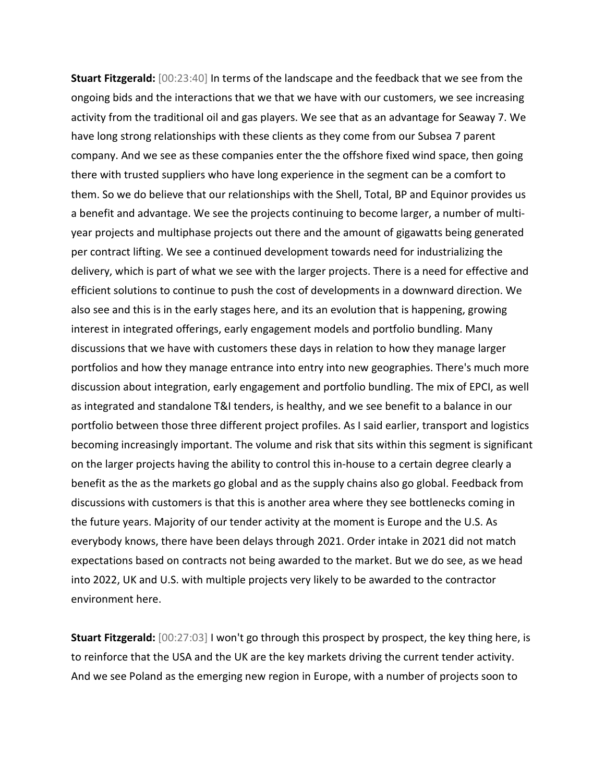**Stuart Fitzgerald:** [00:23:40] In terms of the landscape and the feedback that we see from the ongoing bids and the interactions that we that we have with our customers, we see increasing activity from the traditional oil and gas players. We see that as an advantage for Seaway 7. We have long strong relationships with these clients as they come from our Subsea 7 parent company. And we see as these companies enter the the offshore fixed wind space, then going there with trusted suppliers who have long experience in the segment can be a comfort to them. So we do believe that our relationships with the Shell, Total, BP and Equinor provides us a benefit and advantage. We see the projects continuing to become larger, a number of multiyear projects and multiphase projects out there and the amount of gigawatts being generated per contract lifting. We see a continued development towards need for industrializing the delivery, which is part of what we see with the larger projects. There is a need for effective and efficient solutions to continue to push the cost of developments in a downward direction. We also see and this is in the early stages here, and its an evolution that is happening, growing interest in integrated offerings, early engagement models and portfolio bundling. Many discussions that we have with customers these days in relation to how they manage larger portfolios and how they manage entrance into entry into new geographies. There's much more discussion about integration, early engagement and portfolio bundling. The mix of EPCI, as well as integrated and standalone T&I tenders, is healthy, and we see benefit to a balance in our portfolio between those three different project profiles. As I said earlier, transport and logistics becoming increasingly important. The volume and risk that sits within this segment is significant on the larger projects having the ability to control this in-house to a certain degree clearly a benefit as the as the markets go global and as the supply chains also go global. Feedback from discussions with customers is that this is another area where they see bottlenecks coming in the future years. Majority of our tender activity at the moment is Europe and the U.S. As everybody knows, there have been delays through 2021. Order intake in 2021 did not match expectations based on contracts not being awarded to the market. But we do see, as we head into 2022, UK and U.S. with multiple projects very likely to be awarded to the contractor environment here.

**Stuart Fitzgerald:** [00:27:03] I won't go through this prospect by prospect, the key thing here, is to reinforce that the USA and the UK are the key markets driving the current tender activity. And we see Poland as the emerging new region in Europe, with a number of projects soon to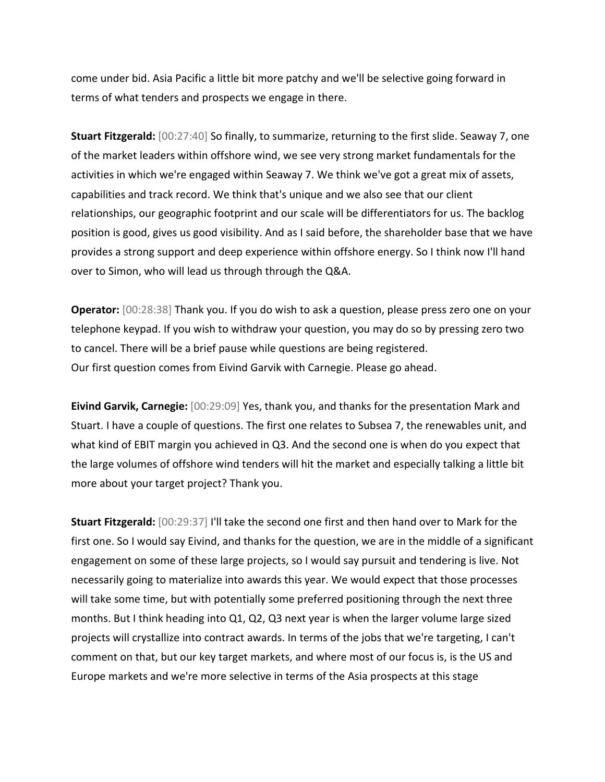come under bid. Asia Pacific a little bit more patchy and we'll be selective going forward in terms of what tenders and prospects we engage in there.

**Stuart Fitzgerald:** [00:27:40] So finally, to summarize, returning to the first slide. Seaway 7, one of the market leaders within offshore wind, we see very strong market fundamentals for the activities in which we're engaged within Seaway 7. We think we've got a great mix of assets, capabilities and track record. We think that's unique and we also see that our client relationships, our geographic footprint and our scale will be differentiators for us. The backlog position is good, gives us good visibility. And as I said before, the shareholder base that we have provides a strong support and deep experience within offshore energy. So I think now I'll hand over to Simon, who will lead us through through the Q&A.

**Operator:** [00:28:38] Thank you. If you do wish to ask a question, please press zero one on your telephone keypad. If you wish to withdraw your question, you may do so by pressing zero two to cancel. There will be a brief pause while questions are being registered. Our first question comes from Eivind Garvik with Carnegie. Please go ahead.

**Eivind Garvik, Carnegie:** [00:29:09] Yes, thank you, and thanks for the presentation Mark and Stuart. I have a couple of questions. The first one relates to Subsea 7, the renewables unit, and what kind of EBIT margin you achieved in Q3. And the second one is when do you expect that the large volumes of offshore wind tenders will hit the market and especially talking a little bit more about your target project? Thank you.

**Stuart Fitzgerald:** [00:29:37] I'll take the second one first and then hand over to Mark for the first one. So I would say Eivind, and thanks for the question, we are in the middle of a significant engagement on some of these large projects, so I would say pursuit and tendering is live. Not necessarily going to materialize into awards this year. We would expect that those processes will take some time, but with potentially some preferred positioning through the next three months. But I think heading into Q1, Q2, Q3 next year is when the larger volume large sized projects will crystallize into contract awards. In terms of the jobs that we're targeting, I can't comment on that, but our key target markets, and where most of our focus is, is the US and Europe markets and we're more selective in terms of the Asia prospects at this stage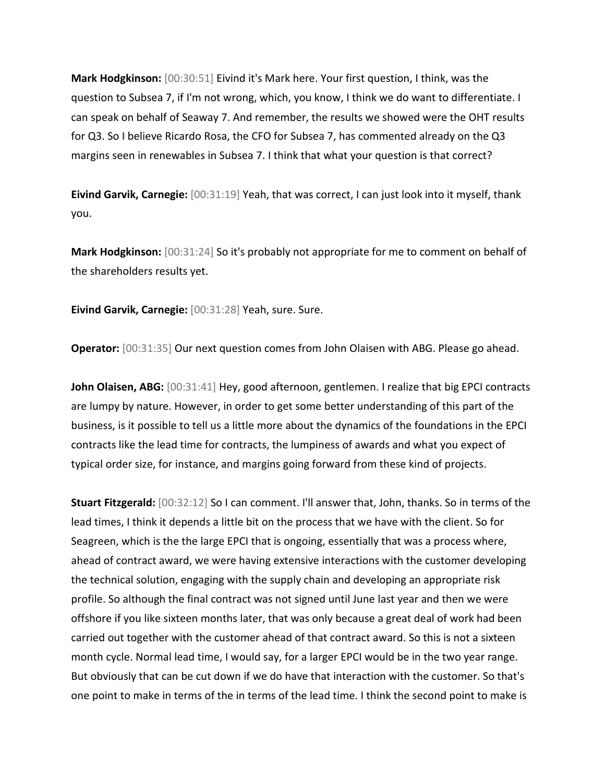**Mark Hodgkinson:** [00:30:51] Eivind it's Mark here. Your first question, I think, was the question to Subsea 7, if I'm not wrong, which, you know, I think we do want to differentiate. I can speak on behalf of Seaway 7. And remember, the results we showed were the OHT results for Q3. So I believe Ricardo Rosa, the CFO for Subsea 7, has commented already on the Q3 margins seen in renewables in Subsea 7. I think that what your question is that correct?

**Eivind Garvik, Carnegie:** [00:31:19] Yeah, that was correct, I can just look into it myself, thank you.

**Mark Hodgkinson:** [00:31:24] So it's probably not appropriate for me to comment on behalf of the shareholders results yet.

**Eivind Garvik, Carnegie:** [00:31:28] Yeah, sure. Sure.

**Operator:** [00:31:35] Our next question comes from John Olaisen with ABG. Please go ahead.

**John Olaisen, ABG:** [00:31:41] Hey, good afternoon, gentlemen. I realize that big EPCI contracts are lumpy by nature. However, in order to get some better understanding of this part of the business, is it possible to tell us a little more about the dynamics of the foundations in the EPCI contracts like the lead time for contracts, the lumpiness of awards and what you expect of typical order size, for instance, and margins going forward from these kind of projects.

**Stuart Fitzgerald:** [00:32:12] So I can comment. I'll answer that, John, thanks. So in terms of the lead times, I think it depends a little bit on the process that we have with the client. So for Seagreen, which is the the large EPCI that is ongoing, essentially that was a process where, ahead of contract award, we were having extensive interactions with the customer developing the technical solution, engaging with the supply chain and developing an appropriate risk profile. So although the final contract was not signed until June last year and then we were offshore if you like sixteen months later, that was only because a great deal of work had been carried out together with the customer ahead of that contract award. So this is not a sixteen month cycle. Normal lead time, I would say, for a larger EPCI would be in the two year range. But obviously that can be cut down if we do have that interaction with the customer. So that's one point to make in terms of the in terms of the lead time. I think the second point to make is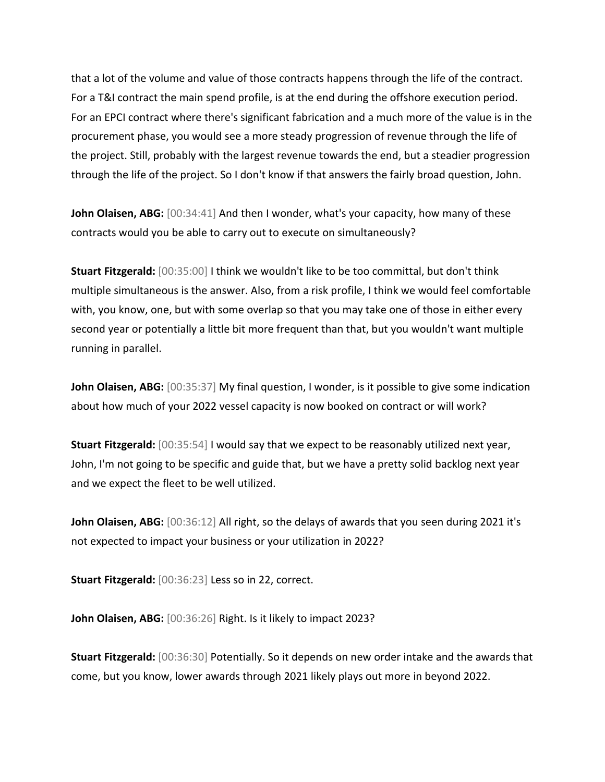that a lot of the volume and value of those contracts happens through the life of the contract. For a T&I contract the main spend profile, is at the end during the offshore execution period. For an EPCI contract where there's significant fabrication and a much more of the value is in the procurement phase, you would see a more steady progression of revenue through the life of the project. Still, probably with the largest revenue towards the end, but a steadier progression through the life of the project. So I don't know if that answers the fairly broad question, John.

**John Olaisen, ABG:** [00:34:41] And then I wonder, what's your capacity, how many of these contracts would you be able to carry out to execute on simultaneously?

**Stuart Fitzgerald:** [00:35:00] I think we wouldn't like to be too committal, but don't think multiple simultaneous is the answer. Also, from a risk profile, I think we would feel comfortable with, you know, one, but with some overlap so that you may take one of those in either every second year or potentially a little bit more frequent than that, but you wouldn't want multiple running in parallel.

**John Olaisen, ABG:** [00:35:37] My final question, I wonder, is it possible to give some indication about how much of your 2022 vessel capacity is now booked on contract or will work?

**Stuart Fitzgerald:** [00:35:54] I would say that we expect to be reasonably utilized next year, John, I'm not going to be specific and guide that, but we have a pretty solid backlog next year and we expect the fleet to be well utilized.

**John Olaisen, ABG:** [00:36:12] All right, so the delays of awards that you seen during 2021 it's not expected to impact your business or your utilization in 2022?

**Stuart Fitzgerald:** [00:36:23] Less so in 22, correct.

**John Olaisen, ABG:** [00:36:26] Right. Is it likely to impact 2023?

**Stuart Fitzgerald:** [00:36:30] Potentially. So it depends on new order intake and the awards that come, but you know, lower awards through 2021 likely plays out more in beyond 2022.